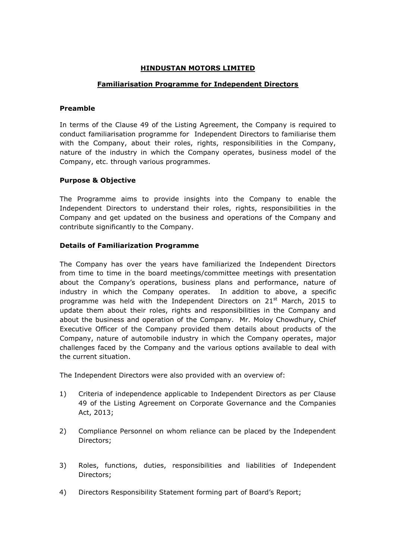# **HINDUSTAN MOTORS LIMITED**

## **Familiarisation Programme for Independent Directors**

#### **Preamble**

In terms of the Clause 49 of the Listing Agreement, the Company is required to conduct familiarisation programme for Independent Directors to familiarise them with the Company, about their roles, rights, responsibilities in the Company, nature of the industry in which the Company operates, business model of the Company, etc. through various programmes.

#### **Purpose & Objective**

The Programme aims to provide insights into the Company to enable the Independent Directors to understand their roles, rights, responsibilities in the Company and get updated on the business and operations of the Company and contribute significantly to the Company.

## **Details of Familiarization Programme**

The Company has over the years have familiarized the Independent Directors from time to time in the board meetings/committee meetings with presentation about the Company's operations, business plans and performance, nature of industry in which the Company operates. In addition to above, a specific programme was held with the Independent Directors on 21<sup>st</sup> March, 2015 to update them about their roles, rights and responsibilities in the Company and about the business and operation of the Company. Mr. Moloy Chowdhury, Chief Executive Officer of the Company provided them details about products of the Company, nature of automobile industry in which the Company operates, major challenges faced by the Company and the various options available to deal with the current situation.

The Independent Directors were also provided with an overview of:

- 1) Criteria of independence applicable to Independent Directors as per Clause 49 of the Listing Agreement on Corporate Governance and the Companies Act, 2013;
- 2) Compliance Personnel on whom reliance can be placed by the Independent Directors;
- 3) Roles, functions, duties, responsibilities and liabilities of Independent Directors;
- 4) Directors Responsibility Statement forming part of Board's Report;